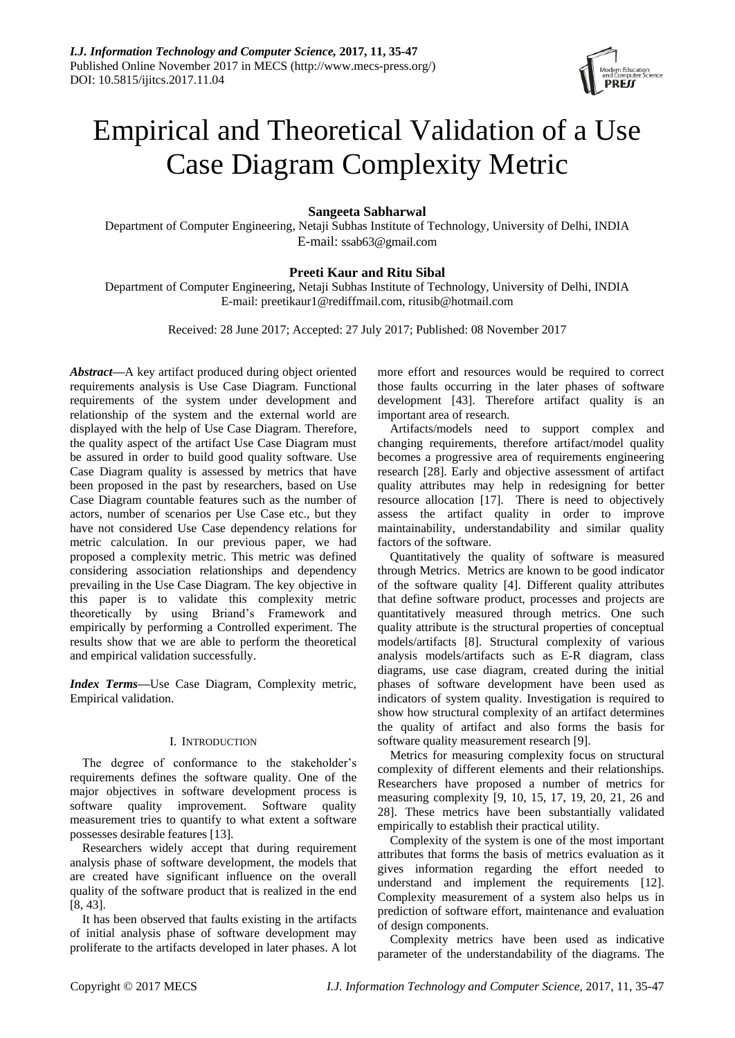

# Empirical and Theoretical Validation of a Use Case Diagram Complexity Metric

# **Sangeeta Sabharwal**

Department of Computer Engineering, Netaji Subhas Institute of Technology, University of Delhi, INDIA E-mail: [ssab63@gmail.com](mailto:ssab63@gmail.com)

# **Preeti Kaur and Ritu Sibal**

Department of Computer Engineering, Netaji Subhas Institute of Technology, University of Delhi, INDIA E-mail: preetikaur1@rediffmail.com, ritusib@hotmail.com

Received: 28 June 2017; Accepted: 27 July 2017; Published: 08 November 2017

*Abstract***—**A key artifact produced during object oriented requirements analysis is Use Case Diagram. Functional requirements of the system under development and relationship of the system and the external world are displayed with the help of Use Case Diagram. Therefore, the quality aspect of the artifact Use Case Diagram must be assured in order to build good quality software. Use Case Diagram quality is assessed by metrics that have been proposed in the past by researchers, based on Use Case Diagram countable features such as the number of actors, number of scenarios per Use Case etc., but they have not considered Use Case dependency relations for metric calculation. In our previous paper, we had proposed a complexity metric. This metric was defined considering association relationships and dependency prevailing in the Use Case Diagram. The key objective in this paper is to validate this complexity metric theoretically by using Briand"s Framework and empirically by performing a Controlled experiment. The results show that we are able to perform the theoretical and empirical validation successfully.

*Index Terms***—**Use Case Diagram, Complexity metric, Empirical validation.

# I. INTRODUCTION

The degree of conformance to the stakeholder's requirements defines the software quality. One of the major objectives in software development process is software quality improvement. Software quality measurement tries to quantify to what extent a software possesses desirable features [13].

Researchers widely accept that during requirement analysis phase of software development, the models that are created have significant influence on the overall quality of the software product that is realized in the end [8, 43].

It has been observed that faults existing in the artifacts of initial analysis phase of software development may proliferate to the artifacts developed in later phases. A lot more effort and resources would be required to correct those faults occurring in the later phases of software development [43]. Therefore artifact quality is an important area of research.

Artifacts/models need to support complex and changing requirements, therefore artifact/model quality becomes a progressive area of requirements engineering research [28]. Early and objective assessment of artifact quality attributes may help in redesigning for better resource allocation [17]. There is need to objectively assess the artifact quality in order to improve maintainability, understandability and similar quality factors of the software.

Quantitatively the quality of software is measured through Metrics. Metrics are known to be good indicator of the software quality [4]. Different quality attributes that define software product, processes and projects are quantitatively measured through metrics. One such quality attribute is the structural properties of conceptual models/artifacts [8]. Structural complexity of various analysis models/artifacts such as E-R diagram, class diagrams, use case diagram, created during the initial phases of software development have been used as indicators of system quality. Investigation is required to show how structural complexity of an artifact determines the quality of artifact and also forms the basis for software quality measurement research [9].

Metrics for measuring complexity focus on structural complexity of different elements and their relationships. Researchers have proposed a number of metrics for measuring complexity [9, 10, 15, 17, 19, 20, 21, 26 and 28]. These metrics have been substantially validated empirically to establish their practical utility.

Complexity of the system is one of the most important attributes that forms the basis of metrics evaluation as it gives information regarding the effort needed to understand and implement the requirements [12]. Complexity measurement of a system also helps us in prediction of software effort, maintenance and evaluation of design components.

Complexity metrics have been used as indicative parameter of the understandability of the diagrams. The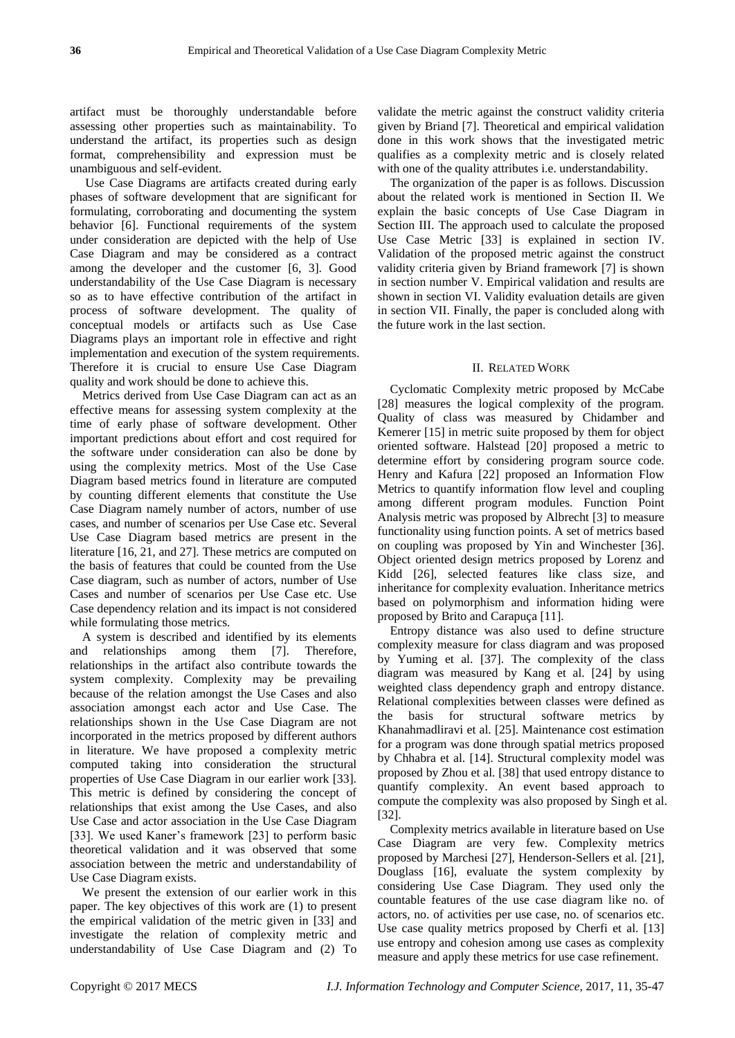artifact must be thoroughly understandable before assessing other properties such as maintainability. To understand the artifact, its properties such as design format, comprehensibility and expression must be unambiguous and self-evident.

Use Case Diagrams are artifacts created during early phases of software development that are significant for formulating, corroborating and documenting the system behavior [6]. Functional requirements of the system under consideration are depicted with the help of Use Case Diagram and may be considered as a contract among the developer and the customer [6, 3]. Good understandability of the Use Case Diagram is necessary so as to have effective contribution of the artifact in process of software development. The quality of conceptual models or artifacts such as Use Case Diagrams plays an important role in effective and right implementation and execution of the system requirements. Therefore it is crucial to ensure Use Case Diagram quality and work should be done to achieve this.

Metrics derived from Use Case Diagram can act as an effective means for assessing system complexity at the time of early phase of software development. Other important predictions about effort and cost required for the software under consideration can also be done by using the complexity metrics. Most of the Use Case Diagram based metrics found in literature are computed by counting different elements that constitute the Use Case Diagram namely number of actors, number of use cases, and number of scenarios per Use Case etc. Several Use Case Diagram based metrics are present in the literature [16, 21, and 27]. These metrics are computed on the basis of features that could be counted from the Use Case diagram, such as number of actors, number of Use Cases and number of scenarios per Use Case etc. Use Case dependency relation and its impact is not considered while formulating those metrics.

A system is described and identified by its elements and relationships among them [7]. Therefore, relationships in the artifact also contribute towards the system complexity. Complexity may be prevailing because of the relation amongst the Use Cases and also association amongst each actor and Use Case. The relationships shown in the Use Case Diagram are not incorporated in the metrics proposed by different authors in literature. We have proposed a complexity metric computed taking into consideration the structural properties of Use Case Diagram in our earlier work [33]. This metric is defined by considering the concept of relationships that exist among the Use Cases, and also Use Case and actor association in the Use Case Diagram [33]. We used Kaner's framework [23] to perform basic theoretical validation and it was observed that some association between the metric and understandability of Use Case Diagram exists.

We present the extension of our earlier work in this paper. The key objectives of this work are (1) to present the empirical validation of the metric given in [33] and investigate the relation of complexity metric and understandability of Use Case Diagram and (2) To

validate the metric against the construct validity criteria given by Briand [7]. Theoretical and empirical validation done in this work shows that the investigated metric qualifies as a complexity metric and is closely related with one of the quality attributes i.e. understandability.

The organization of the paper is as follows. Discussion about the related work is mentioned in Section II. We explain the basic concepts of Use Case Diagram in Section III. The approach used to calculate the proposed Use Case Metric [33] is explained in section IV. Validation of the proposed metric against the construct validity criteria given by Briand framework [7] is shown in section number V. Empirical validation and results are shown in section VI. Validity evaluation details are given in section VII. Finally, the paper is concluded along with the future work in the last section.

# II. RELATED WORK

Cyclomatic Complexity metric proposed by McCabe [28] measures the logical complexity of the program. Quality of class was measured by Chidamber and Kemerer [15] in metric suite proposed by them for object oriented software. Halstead [20] proposed a metric to determine effort by considering program source code. Henry and Kafura [22] proposed an Information Flow Metrics to quantify information flow level and coupling among different program modules. Function Point Analysis metric was proposed by Albrecht [3] to measure functionality using function points. A set of metrics based on coupling was proposed by Yin and Winchester [36]. Object oriented design metrics proposed by Lorenz and Kidd [26], selected features like class size, and inheritance for complexity evaluation. Inheritance metrics based on polymorphism and information hiding were proposed by Brito and Carapuça [11].

Entropy distance was also used to define structure complexity measure for class diagram and was proposed by Yuming et al. [37]. The complexity of the class diagram was measured by Kang et al. [24] by using weighted class dependency graph and entropy distance. Relational complexities between classes were defined as the basis for structural software metrics by Khanahmadliravi et al. [25]. Maintenance cost estimation for a program was done through spatial metrics proposed by Chhabra et al. [14]. Structural complexity model was proposed by Zhou et al. [38] that used entropy distance to quantify complexity. An event based approach to compute the complexity was also proposed by Singh et al. [32].

Complexity metrics available in literature based on Use Case Diagram are very few. Complexity metrics proposed by Marchesi [27], Henderson-Sellers et al. [21], Douglass [16], evaluate the system complexity by considering Use Case Diagram. They used only the countable features of the use case diagram like no. of actors, no. of activities per use case, no. of scenarios etc. Use case quality metrics proposed by Cherfi et al. [13] use entropy and cohesion among use cases as complexity measure and apply these metrics for use case refinement.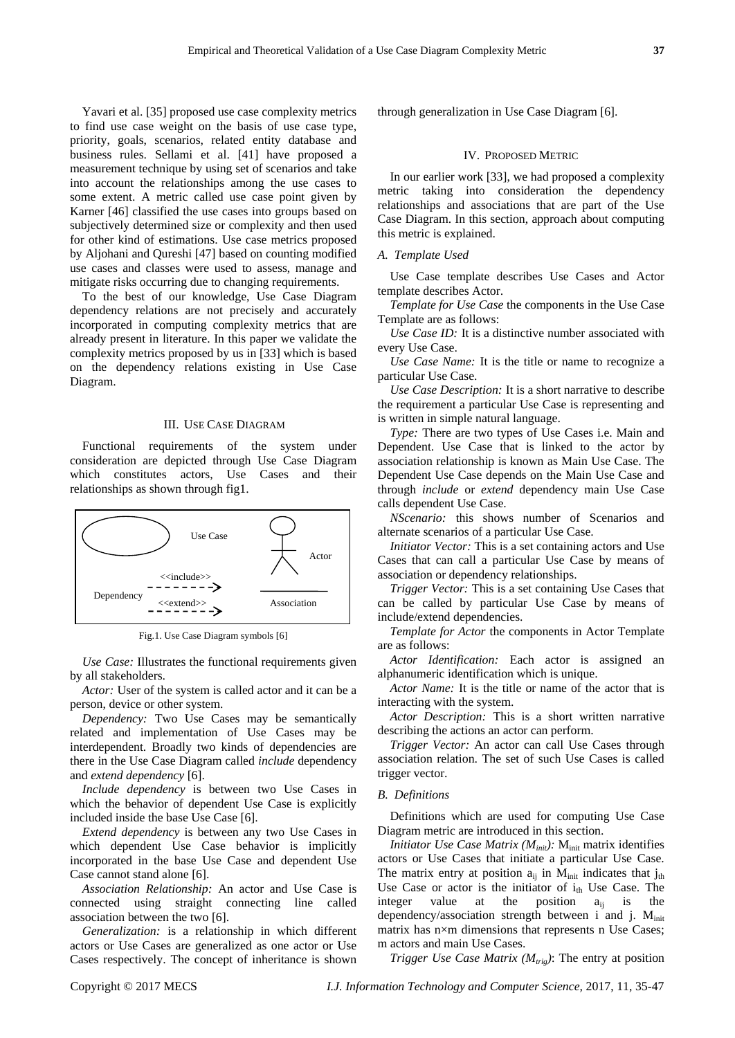Yavari et al. [35] proposed use case complexity metrics to find use case weight on the basis of use case type, priority, goals, scenarios, related entity database and business rules. Sellami et al. [41] have proposed a measurement technique by using set of scenarios and take into account the relationships among the use cases to some extent. A metric called use case point given by Karner [46] classified the use cases into groups based on subjectively determined size or complexity and then used for other kind of estimations. Use case metrics proposed by Aljohani and Qureshi [47] based on counting modified use cases and classes were used to assess, manage and mitigate risks occurring due to changing requirements.

To the best of our knowledge, Use Case Diagram dependency relations are not precisely and accurately incorporated in computing complexity metrics that are already present in literature. In this paper we validate the complexity metrics proposed by us in [33] which is based on the dependency relations existing in Use Case Diagram.

# III. USE CASE DIAGRAM

Functional requirements of the system under consideration are depicted through Use Case Diagram which constitutes actors, Use Cases and their relationships as shown through fig1.



Fig.1. Use Case Diagram symbols [6]

*Use Case:* Illustrates the functional requirements given by all stakeholders.

*Actor:* User of the system is called actor and it can be a person, device or other system.

*Dependency:* Two Use Cases may be semantically related and implementation of Use Cases may be interdependent. Broadly two kinds of dependencies are there in the Use Case Diagram called *include* dependency and *extend dependency* [6].

*Include dependency* is between two Use Cases in which the behavior of dependent Use Case is explicitly included inside the base Use Case [6].

*Extend dependency* is between any two Use Cases in which dependent Use Case behavior is implicitly incorporated in the base Use Case and dependent Use Case cannot stand alone [6].

*Association Relationship:* An actor and Use Case is connected using straight connecting line called association between the two [6].

*Generalization:* is a relationship in which different actors or Use Cases are generalized as one actor or Use Cases respectively. The concept of inheritance is shown through generalization in Use Case Diagram [6].

### IV. PROPOSED METRIC

In our earlier work [33], we had proposed a complexity metric taking into consideration the dependency relationships and associations that are part of the Use Case Diagram. In this section, approach about computing this metric is explained.

# *A. Template Used*

Use Case template describes Use Cases and Actor template describes Actor.

*Template for Use Case* the components in the Use Case Template are as follows:

*Use Case ID:* It is a distinctive number associated with every Use Case.

*Use Case Name:* It is the title or name to recognize a particular Use Case.

*Use Case Description:* It is a short narrative to describe the requirement a particular Use Case is representing and is written in simple natural language.

*Type:* There are two types of Use Cases i.e. Main and Dependent. Use Case that is linked to the actor by association relationship is known as Main Use Case. The Dependent Use Case depends on the Main Use Case and through *include* or *extend* dependency main Use Case calls dependent Use Case.

*NScenario:* this shows number of Scenarios and alternate scenarios of a particular Use Case.

*Initiator Vector:* This is a set containing actors and Use Cases that can call a particular Use Case by means of association or dependency relationships.

*Trigger Vector:* This is a set containing Use Cases that can be called by particular Use Case by means of include/extend dependencies.

*Template for Actor* the components in Actor Template are as follows:

*Actor Identification:* Each actor is assigned an alphanumeric identification which is unique.

*Actor Name:* It is the title or name of the actor that is interacting with the system.

*Actor Description:* This is a short written narrative describing the actions an actor can perform.

*Trigger Vector:* An actor can call Use Cases through association relation. The set of such Use Cases is called trigger vector.

# *B. Definitions*

Definitions which are used for computing Use Case Diagram metric are introduced in this section.

*Initiator Use Case Matrix (* $M<sub>init</sub>$ *):* M<sub>init</sub> matrix identifies actors or Use Cases that initiate a particular Use Case. The matrix entry at position  $a_{ij}$  in  $M_{init}$  indicates that  $j_{th}$ Use Case or actor is the initiator of  $i_{\text{th}}$  Use Case. The integer value at the position  $a_{ij}$  is the dependency/association strength between i and j.  $M<sub>init</sub>$ matrix has  $n \times m$  dimensions that represents n Use Cases; m actors and main Use Cases.

*Trigger Use Case Matrix (Mtrig)*: The entry at position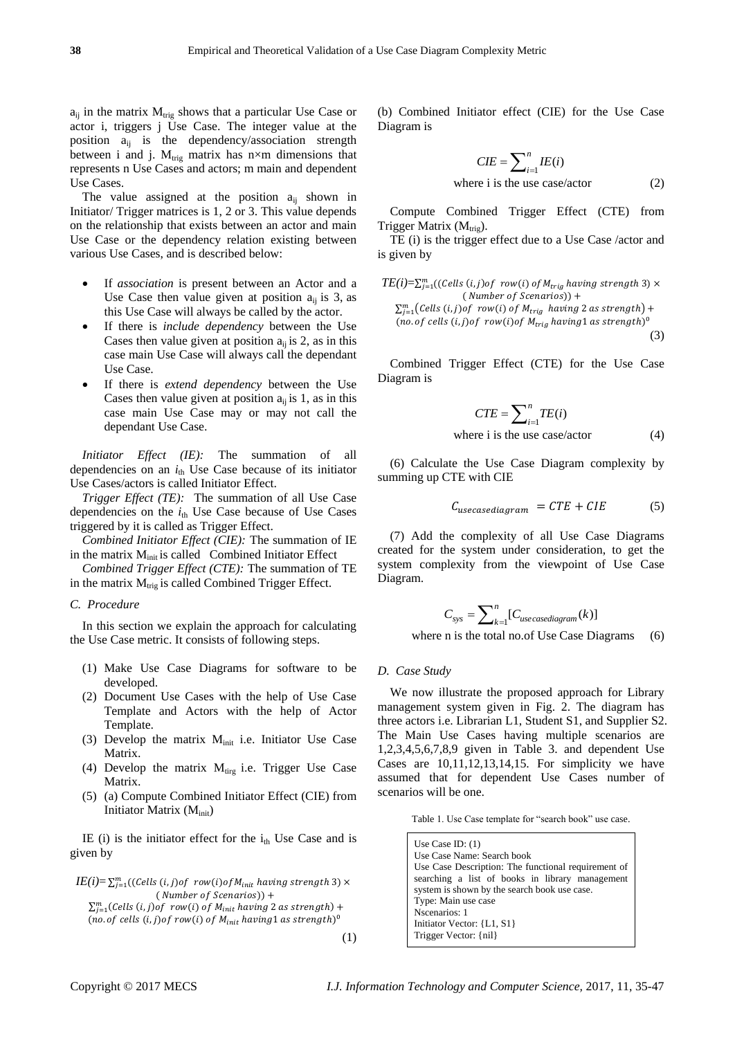$a_{ij}$  in the matrix  $M_{trig}$  shows that a particular Use Case or actor i, triggers j Use Case. The integer value at the position  $a_{ii}$  is the dependency/association strength between i and j.  $M_{trig}$  matrix has n×m dimensions that represents n Use Cases and actors; m main and dependent Use Cases.

The value assigned at the position  $a_{ij}$  shown in Initiator/ Trigger matrices is 1, 2 or 3. This value depends on the relationship that exists between an actor and main Use Case or the dependency relation existing between various Use Cases, and is described below:

- If *association* is present between an Actor and a Use Case then value given at position  $a_{ii}$  is 3, as this Use Case will always be called by the actor.
- If there is *include dependency* between the Use Cases then value given at position  $a_{ii}$  is 2, as in this case main Use Case will always call the dependant Use Case.
- If there is *extend dependency* between the Use Cases then value given at position  $a_{ii}$  is 1, as in this case main Use Case may or may not call the dependant Use Case.

*Initiator Effect (IE):* The summation of all dependencies on an  $i_{\text{th}}$  Use Case because of its initiator Use Cases/actors is called Initiator Effect.

*Trigger Effect (TE):* The summation of all Use Case dependencies on the  $i_{th}$  Use Case because of Use Cases triggered by it is called as Trigger Effect.

*Combined Initiator Effect (CIE):* The summation of IE in the matrix M<sub>init</sub> is called Combined Initiator Effect

*Combined Trigger Effect (CTE):* The summation of TE in the matrix  $M_{trig}$  is called Combined Trigger Effect.

# *C. Procedure*

In this section we explain the approach for calculating the Use Case metric. It consists of following steps.

- (1) Make Use Case Diagrams for software to be developed.
- (2) Document Use Cases with the help of Use Case Template and Actors with the help of Actor Template.
- (3) Develop the matrix  $M<sub>init</sub>$  i.e. Initiator Use Case Matrix.
- (4) Develop the matrix  $M_{\text{tirg}}$  i.e. Trigger Use Case Matrix.
- (5) (a) Compute Combined Initiator Effect (CIE) from Initiator Matrix (M<sub>init</sub>)

IE (i) is the initiator effect for the  $i_{th}$  Use Case and is given by

```
I E(i) = \sum_{j=1}^{m} ((\text{Cells } (i,j) \text{ of } row(i) \text{ of } M_{init} \text{ having strength 3})(Number of Scenarios)) +
 \sum_{j=1}^{m}(Cells (i,j)of row(i) of M_{init} having 2 as strength) +
(no. of cells (i, j) of row(i) of M_{init} having 1 as strength)<sup>0</sup>
                                                                                (1)
```
(b) Combined Initiator effect (CIE) for the Use Case Diagram is

$$
CIE = \sum_{i=1}^{n} IE(i)
$$
  
where i is the use case/actor (2)

Compute Combined Trigger Effect (CTE) from Trigger Matrix  $(M_{trig})$ .

TE (i) is the trigger effect due to a Use Case /actor and is given by

$$
TE(i)=\sum_{j=1}^{m}((Cells(i,j)of row(i) of M_{trig} having strength 3) \times (Number of Scenarios)) +\n\sum_{j=1}^{m} (Cells(i,j)of row(i) of M_{trig} having 2 as strength) +\n(no. of cells (i,j)of row(i)of M_{trig} having 1 as strength)0
$$
\n(3)

Combined Trigger Effect (CTE) for the Use Case Diagram is

$$
CTE = \sum_{i=1}^{n} TE(i)
$$
  
where i is the use case/actor (4)

(6) Calculate the Use Case Diagram complexity by summing up CTE with CIE

$$
C_{usecasediagram} = CTE + CIE \tag{5}
$$

(7) Add the complexity of all Use Case Diagrams created for the system under consideration, to get the system complexity from the viewpoint of Use Case Diagram.

$$
C_{sys} = \sum_{k=1}^{n} [C_{usecasediagram}(k)]
$$
  
an is the total no of Use Case Disgrame. (6)

where n is the total no.of Use Case Diagrams (6)

# *D. Case Study*

We now illustrate the proposed approach for Library management system given in Fig. 2. The diagram has three actors i.e. Librarian L1, Student S1, and Supplier S2. The Main Use Cases having multiple scenarios are 1,2,3,4,5,6,7,8,9 given in Table 3. and dependent Use Cases are 10,11,12,13,14,15. For simplicity we have assumed that for dependent Use Cases number of scenarios will be one.

Table 1. Use Case template for "search book" use case.

Use Case ID: (1) Use Case Name: Search book Use Case Description: The functional requirement of searching a list of books in library management system is shown by the search book use case. Type: Main use case Nscenarios: 1 Initiator Vector: {L1, S1} Trigger Vector: {nil}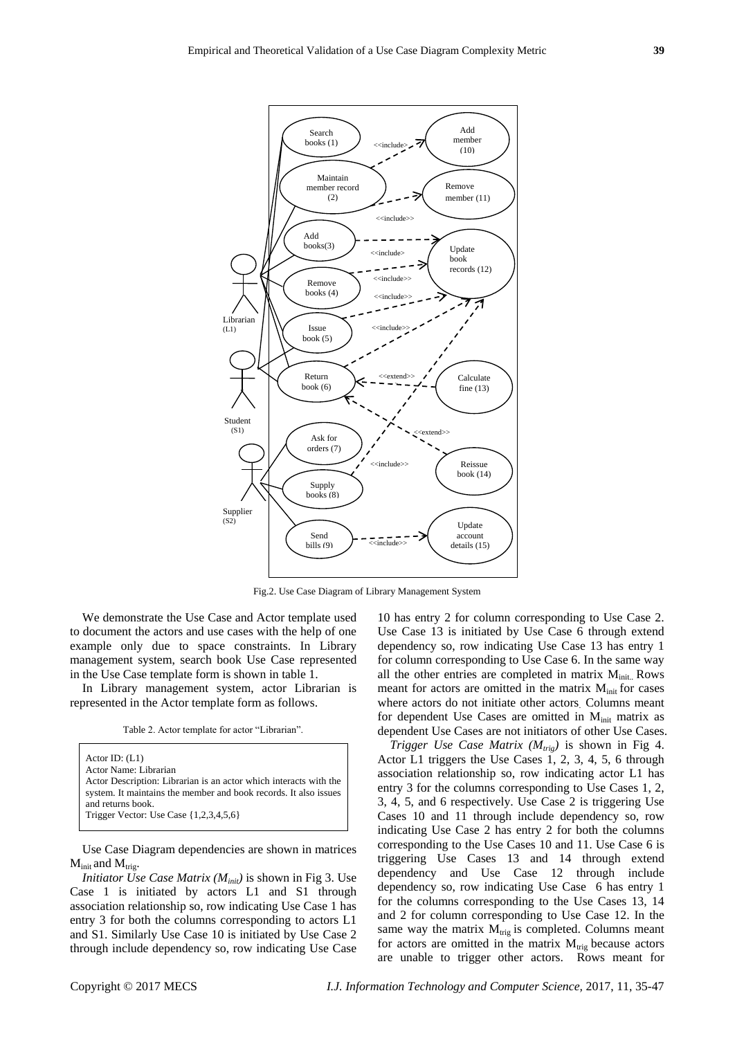

Fig.2. Use Case Diagram of Library Management System

We demonstrate the Use Case and Actor template used to document the actors and use cases with the help of one example only due to space constraints. In Library management system, search book Use Case represented in the Use Case template form is shown in table 1.

In Library management system, actor Librarian is represented in the Actor template form as follows.

Table 2. Actor template for actor "Librarian".

Actor ID: (L1) Actor Name: Librarian Actor Description: Librarian is an actor which interacts with the system. It maintains the member and book records. It also issues and returns book. Trigger Vector: Use Case {1,2,3,4,5,6}

Use Case Diagram dependencies are shown in matrices  $M_{init}$  and  $M_{trig}$ .

*Initiator Use Case Matrix (Minit)* is shown in Fig 3. Use Case 1 is initiated by actors L1 and S1 through association relationship so, row indicating Use Case 1 has entry 3 for both the columns corresponding to actors L1 and S1. Similarly Use Case 10 is initiated by Use Case 2 through include dependency so, row indicating Use Case

10 has entry 2 for column corresponding to Use Case 2. Use Case 13 is initiated by Use Case 6 through extend dependency so, row indicating Use Case 13 has entry 1 for column corresponding to Use Case 6. In the same way all the other entries are completed in matrix  $M<sub>init</sub>$ . Rows meant for actors are omitted in the matrix  $M<sub>init</sub>$  for cases where actors do not initiate other actors. Columns meant for dependent Use Cases are omitted in M<sub>init</sub> matrix as dependent Use Cases are not initiators of other Use Cases.

*Trigger Use Case Matrix (Mtrig)* is shown in Fig 4. Actor L1 triggers the Use Cases 1, 2, 3, 4, 5, 6 through association relationship so, row indicating actor L1 has entry 3 for the columns corresponding to Use Cases 1, 2, 3, 4, 5, and 6 respectively. Use Case 2 is triggering Use Cases 10 and 11 through include dependency so, row indicating Use Case 2 has entry 2 for both the columns corresponding to the Use Cases 10 and 11. Use Case 6 is triggering Use Cases 13 and 14 through extend dependency and Use Case 12 through include dependency so, row indicating Use Case 6 has entry 1 for the columns corresponding to the Use Cases 13, 14 and 2 for column corresponding to Use Case 12. In the same way the matrix  $M_{trig}$  is completed. Columns meant for actors are omitted in the matrix  $M_{trig}$  because actors are unable to trigger other actors. Rows meant for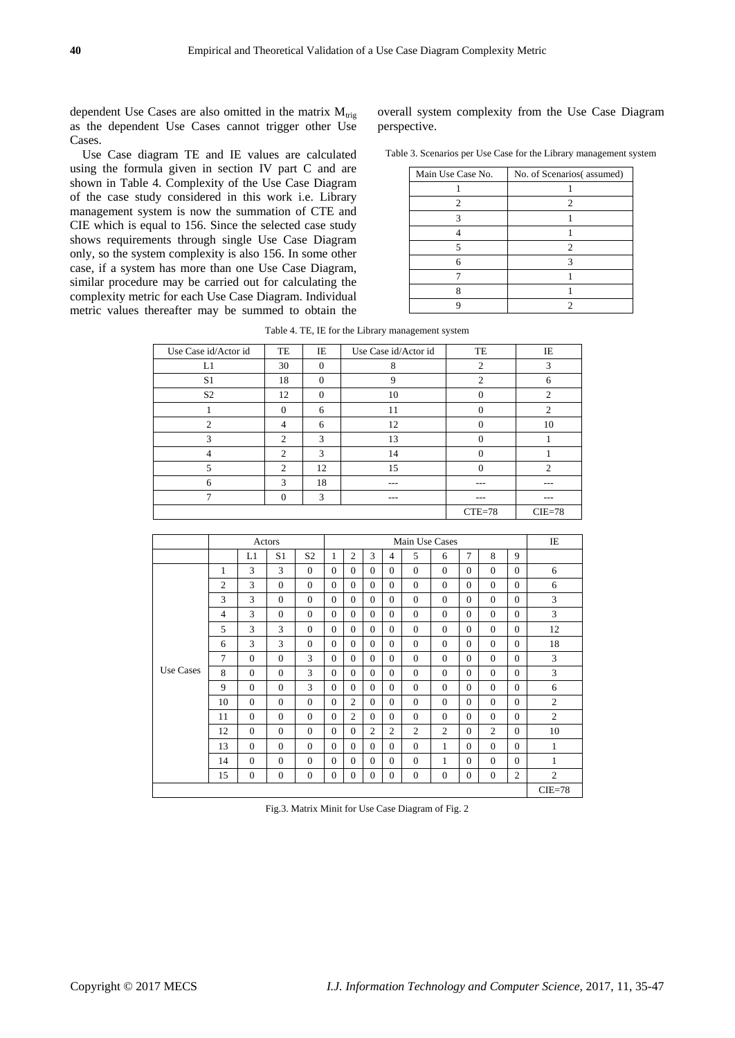dependent Use Cases are also omitted in the matrix  $M_{trig}$ as the dependent Use Cases cannot trigger other Use Cases.

Use Case diagram TE and IE values are calculated using the formula given in section IV part C and are shown in Table 4. Complexity of the Use Case Diagram of the case study considered in this work i.e. Library management system is now the summation of CTE and CIE which is equal to 156. Since the selected case study shows requirements through single Use Case Diagram only, so the system complexity is also 156. In some other case, if a system has more than one Use Case Diagram, similar procedure may be carried out for calculating the complexity metric for each Use Case Diagram. Individual metric values thereafter may be summed to obtain the

overall system complexity from the Use Case Diagram perspective.

Table 3. Scenarios per Use Case for the Library management system

| Main Use Case No. | No. of Scenarios(assumed) |
|-------------------|---------------------------|
|                   |                           |
| 2                 | 2                         |
|                   |                           |
|                   |                           |
|                   | 2                         |
|                   |                           |
|                   |                           |
|                   |                           |
|                   |                           |

Table 4. TE, IE for the Library management system

| Use Case id/Actor id | TE             | IE       | Use Case id/Actor id | TE             | IE             |
|----------------------|----------------|----------|----------------------|----------------|----------------|
|                      |                |          |                      |                |                |
| L1                   | 30             | $\Omega$ | 8                    | $\overline{c}$ | 3              |
| S <sub>1</sub>       | 18             | $\Omega$ | 9                    | $\mathfrak{D}$ | 6              |
| S <sub>2</sub>       | 12             | $\Omega$ | 10                   | 0              | $\overline{c}$ |
|                      | $\Omega$       | 6        | 11                   | 0              | $\mathfrak{D}$ |
| $\mathcal{D}$        | $\overline{4}$ | 6        | 12                   | 0              | 10             |
| 3                    | $\mathfrak{2}$ | 3        | 13                   | 0              |                |
| 4                    | $\overline{c}$ | 3        | 14                   | 0              |                |
| 5                    | 2              | 12       | 15                   | 0              | $\mathfrak{D}$ |
| 6                    | 3              | 18       | ---                  | ---            | ---            |
| ⇁                    | $\Omega$       | 3        | $- - -$              | $- - -$        | ---            |
|                      |                |          |                      | $CTE=78$       | $CIE = 78$     |

|                  | Actors         |              |                |                |          | Main Use Cases |                |                |                |                |          |                |                | IE             |
|------------------|----------------|--------------|----------------|----------------|----------|----------------|----------------|----------------|----------------|----------------|----------|----------------|----------------|----------------|
|                  |                | L1           | S <sub>1</sub> | S <sub>2</sub> | 1        | $\overline{c}$ | 3              | 4              | 5              | 6              | $\tau$   | 8              | 9              |                |
|                  | 1              | 3            | 3              | $\Omega$       | $\Omega$ | $\Omega$       | $\Omega$       | $\Omega$       | $\Omega$       | $\Omega$       | $\Omega$ | $\Omega$       | $\Omega$       | 6              |
|                  | $\mathfrak{2}$ | 3            | $\Omega$       | $\Omega$       | $\Omega$ | $\Omega$       | $\Omega$       | $\Omega$       | $\Omega$       | $\Omega$       | $\Omega$ | $\Omega$       | $\Omega$       | 6              |
|                  | 3              | 3            | $\Omega$       | $\Omega$       | $\Omega$ | $\Omega$       | $\Omega$       | $\Omega$       | $\Omega$       | $\Omega$       | $\Omega$ | $\Omega$       | $\Omega$       | 3              |
|                  | 4              | 3            | $\mathbf{0}$   | $\Omega$       | $\Omega$ | $\Omega$       | $\Omega$       | $\Omega$       | $\mathbf{0}$   | $\Omega$       | $\Omega$ | $\Omega$       | $\Omega$       | 3              |
|                  | 5              | 3            | 3              | $\Omega$       | $\Omega$ | $\Omega$       | $\Omega$       | $\Omega$       | $\Omega$       | $\Omega$       | $\Omega$ | $\Omega$       | $\Omega$       | 12             |
|                  | 6              | 3            | 3              | $\Omega$       | $\Omega$ | $\Omega$       | $\Omega$       | $\Omega$       | $\Omega$       | $\Omega$       | $\Omega$ | $\Omega$       | $\Omega$       | 18             |
|                  | 7              | $\Omega$     | $\Omega$       | 3              | $\Omega$ | $\Omega$       | $\Omega$       | $\Omega$       | $\Omega$       | $\Omega$       | $\Omega$ | $\Omega$       | $\Omega$       | 3              |
| <b>Use Cases</b> | 8              | $\Omega$     | $\Omega$       | 3              | $\Omega$ | $\Omega$       | $\Omega$       | $\Omega$       | $\Omega$       | $\Omega$       | $\Omega$ | $\Omega$       | $\Omega$       | 3              |
|                  | 9              | $\Omega$     | $\Omega$       | 3              | $\Omega$ | $\Omega$       | $\Omega$       | $\Omega$       | $\Omega$       | $\Omega$       | $\Omega$ | $\Omega$       | $\Omega$       | 6              |
|                  | 10             | $\Omega$     | $\Omega$       | $\Omega$       | $\Omega$ | 2              | $\Omega$       | $\Omega$       | $\Omega$       | $\Omega$       | $\Omega$ | $\Omega$       | $\Omega$       | $\overline{2}$ |
|                  | 11             | $\Omega$     | $\Omega$       | $\Omega$       | $\Omega$ | 2              | $\Omega$       | $\Omega$       | $\Omega$       | $\Omega$       | $\Omega$ | $\Omega$       | $\Omega$       | $\overline{c}$ |
|                  | 12             | $\mathbf{0}$ | $\mathbf{0}$   | $\Omega$       | $\Omega$ | $\Omega$       | $\overline{c}$ | $\overline{2}$ | $\overline{2}$ | $\overline{c}$ | $\Omega$ | $\overline{c}$ | $\Omega$       | 10             |
|                  | 13             | $\Omega$     | $\Omega$       | $\Omega$       | $\Omega$ | $\Omega$       | $\Omega$       | $\Omega$       | $\Omega$       | 1              | $\Omega$ | $\Omega$       | $\Omega$       | $\mathbf{1}$   |
|                  | 14             | $\Omega$     | $\Omega$       | $\Omega$       | $\Omega$ | $\Omega$       | $\Omega$       | $\Omega$       | $\Omega$       | 1              | $\Omega$ | $\Omega$       | $\Omega$       | $\mathbf{1}$   |
|                  | 15             | $\mathbf{0}$ | $\mathbf{0}$   | $\mathbf{0}$   | $\Omega$ | $\Omega$       | $\mathbf{0}$   | $\mathbf{0}$   | $\mathbf{0}$   | $\theta$       | $\Omega$ | $\Omega$       | $\overline{c}$ | $\overline{c}$ |
|                  |                |              |                |                |          |                |                |                |                |                |          |                |                | $CIE = 78$     |

Fig.3. Matrix Minit for Use Case Diagram of Fig. 2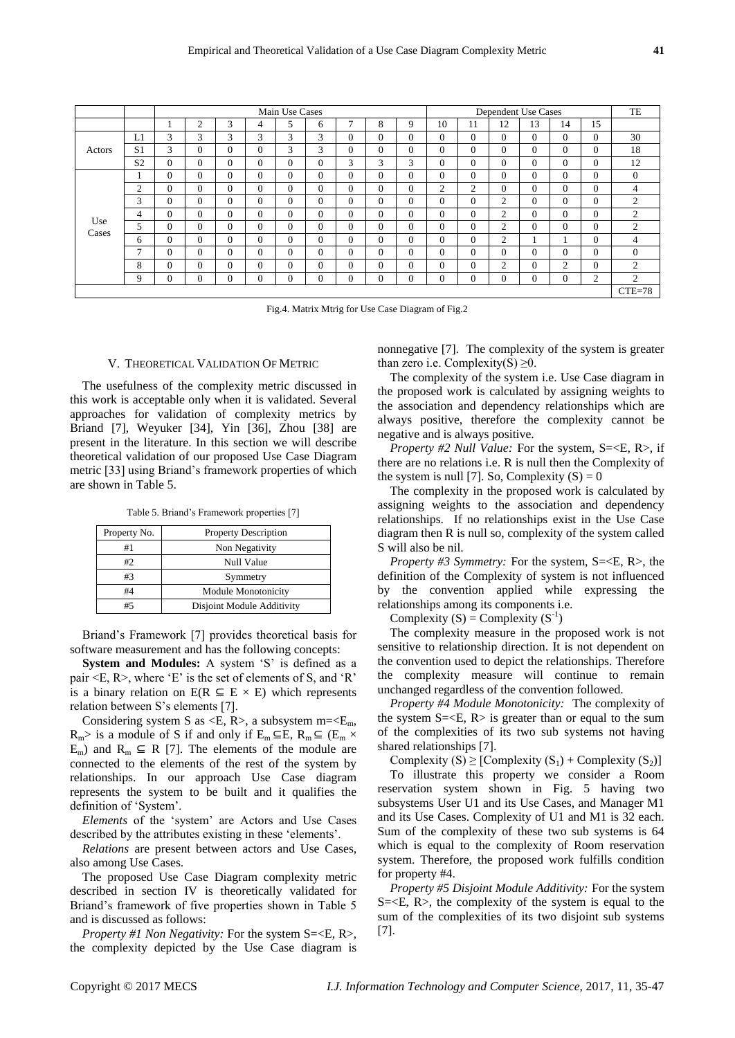|              |                | Main Use Cases |              |          |                |              |          |                | Dependent Use Cases |          |          |          |          | TE       |                |          |                |
|--------------|----------------|----------------|--------------|----------|----------------|--------------|----------|----------------|---------------------|----------|----------|----------|----------|----------|----------------|----------|----------------|
|              |                |                | 2            | 3        | 4              | 5            | 6        | $\overline{7}$ | 8                   | 9        | 10       | 11       | 12       | 13       | 14             | 15       |                |
|              | L1             | 3              | 3            | 3        | 3              | 3            | 3        | $\Omega$       | 0                   | 0        | 0        | $\Omega$ | $\Omega$ | $\Omega$ | $\mathbf{0}$   | $\Omega$ | 30             |
| Actors       | S <sub>1</sub> | 3              | $\Omega$     | $\Omega$ | $\Omega$       | 3            | 3        | $\Omega$       | 0                   | $\Omega$ | $\Omega$ | $\Omega$ | $\Omega$ | $\Omega$ | $\Omega$       | $\Omega$ | 18             |
|              | S <sub>2</sub> | $\overline{0}$ | $\Omega$     | 0        | $\Omega$       | $\Omega$     | $\Omega$ | 3              | 3                   | 3        | $\Omega$ | $\Omega$ | $\Omega$ | $\Omega$ | $\Omega$       | $\Omega$ | 12             |
|              |                | $\overline{0}$ | $\mathbf{0}$ | $\Omega$ | $\Omega$       | $\Omega$     | $\Omega$ | $\Omega$       | 0                   | 0        | 0        | $\Omega$ | $\Omega$ | $\Omega$ | $\mathbf{0}$   | $\Omega$ | $\mathbf{0}$   |
|              | $\overline{2}$ | $\theta$       | $\theta$     | 0        | $\Omega$       | $\Omega$     | $\Omega$ | $\Omega$       | 0                   | 0        | 2        | 2        | $\theta$ | $\Omega$ | $\Omega$       | $\Omega$ | $\overline{4}$ |
|              | 3              | $\overline{0}$ | $\mathbf{0}$ | $\Omega$ | $\overline{0}$ | $\Omega$     | $\Omega$ | $\Omega$       | 0                   | $\Omega$ | $\Omega$ | $\Omega$ | 2        | $\Omega$ | $\overline{0}$ | $\Omega$ | $\overline{c}$ |
|              | $\overline{4}$ | $\Omega$       | $\Omega$     | $\Omega$ | $\theta$       | $\Omega$     | $\Omega$ | $\Omega$       | 0                   | $\Omega$ | $\Omega$ | $\Omega$ | 2        | $\Omega$ | $\Omega$       | $\Omega$ | $\overline{2}$ |
| Use<br>Cases | 5              | $\Omega$       | $\Omega$     | $\Omega$ | $\Omega$       | $\Omega$     | $\Omega$ | $\Omega$       | 0                   | 0        | 0        | $\Omega$ | 2        | $\Omega$ | $\Omega$       | $\Omega$ | $\overline{c}$ |
|              | 6              | $\overline{0}$ | $\mathbf{0}$ | 0        | $\Omega$       | $\Omega$     | $\Omega$ | $\Omega$       | 0                   | 0        | $\Omega$ | $\Omega$ | 2        |          |                | $\Omega$ | $\overline{4}$ |
|              | $\mathcal{I}$  | $\Omega$       | $\Omega$     | 0        | $\Omega$       | $\Omega$     | $\Omega$ | $\Omega$       | 0                   | 0        | 0        | $\Omega$ | $\Omega$ | $\Omega$ | $\Omega$       | $\Omega$ | $\mathbf{0}$   |
|              | 8              | $\Omega$       | $\Omega$     | $\Omega$ | $\Omega$       | $\Omega$     | $\Omega$ | $\Omega$       | 0                   | 0        | $\Omega$ | $\Omega$ | 2        | $\Omega$ | $\overline{2}$ | $\Omega$ | 2              |
|              | 9              | $\overline{0}$ | $\mathbf{0}$ | 0        | $\Omega$       | $\mathbf{0}$ | $\Omega$ | $\Omega$       | 0                   | 0        | $\Omega$ | $\Omega$ | $\theta$ | $\theta$ | $\overline{0}$ | 2        | $\overline{c}$ |
|              |                |                |              |          |                |              |          |                |                     |          |          |          |          |          |                |          | $CTE=78$       |

Fig.4. Matrix Mtrig for Use Case Diagram of Fig.2

#### V. THEORETICAL VALIDATION OF METRIC

The usefulness of the complexity metric discussed in this work is acceptable only when it is validated. Several approaches for validation of complexity metrics by Briand [7], Weyuker [34], Yin [36], Zhou [38] are present in the literature. In this section we will describe theoretical validation of our proposed Use Case Diagram metric [33] using Briand"s framework properties of which are shown in Table 5.

Table 5. Briand"s Framework properties [7]

| Property No. | <b>Property Description</b> |
|--------------|-----------------------------|
| #1           | Non Negativity              |
| #2           | <b>Null Value</b>           |
| #3           | Symmetry                    |
| #4           | <b>Module Monotonicity</b>  |
| #5           | Disjoint Module Additivity  |

Briand"s Framework [7] provides theoretical basis for software measurement and has the following concepts:

**System and Modules:** A system 'S' is defined as a pair  $\leq E$ , R $>$ , where 'E' is the set of elements of S, and 'R' is a binary relation on  $E(R \subseteq E \times E)$  which represents relation between S"s elements [7].

Considering system S as  $\leq E$ , R>, a subsystem m= $\leq E_m$ ,  $R_m$ > is a module of S if and only if  $E_m \subseteq E$ ,  $R_m \subseteq (E_m \times$ E<sub>m</sub>) and R<sub>m</sub>  $\subseteq$  R [7]. The elements of the module are connected to the elements of the rest of the system by relationships. In our approach Use Case diagram represents the system to be built and it qualifies the definition of "System".

*Elements* of the "system" are Actors and Use Cases described by the attributes existing in these "elements".

*Relations* are present between actors and Use Cases, also among Use Cases.

The proposed Use Case Diagram complexity metric described in section IV is theoretically validated for Briand"s framework of five properties shown in Table 5 and is discussed as follows:

*Property #1 Non Negativity:* For the system S=<E, R>, the complexity depicted by the Use Case diagram is nonnegative [7]. The complexity of the system is greater than zero i.e. Complexity $(S) \geq 0$ .

The complexity of the system i.e. Use Case diagram in the proposed work is calculated by assigning weights to the association and dependency relationships which are always positive, therefore the complexity cannot be negative and is always positive.

*Property #2 Null Value:* For the system, S=<E, R>, if there are no relations i.e. R is null then the Complexity of the system is null [7]. So, Complexity  $(S) = 0$ 

The complexity in the proposed work is calculated by assigning weights to the association and dependency relationships. If no relationships exist in the Use Case diagram then R is null so, complexity of the system called S will also be nil.

*Property #3 Symmetry:* For the system, S=<E, R>, the definition of the Complexity of system is not influenced by the convention applied while expressing the relationships among its components i.e.

Complexity  $(S)$  = Complexity  $(S^{-1})$ 

The complexity measure in the proposed work is not sensitive to relationship direction. It is not dependent on the convention used to depict the relationships. Therefore the complexity measure will continue to remain unchanged regardless of the convention followed.

*Property #4 Module Monotonicity:*The complexity of the system  $S=\langle E, R \rangle$  is greater than or equal to the sum of the complexities of its two sub systems not having shared relationships [7].

Complexity  $(S) \geq [Complexity (S<sub>1</sub>) + Complexity (S<sub>2</sub>)]$ 

To illustrate this property we consider a Room reservation system shown in Fig. 5 having two subsystems User U1 and its Use Cases, and Manager M1 and its Use Cases. Complexity of U1 and M1 is 32 each. Sum of the complexity of these two sub systems is 64 which is equal to the complexity of Room reservation system. Therefore, the proposed work fulfills condition for property #4.

*Property #5 Disjoint Module Additivity:* For the system  $S=\langle E, R \rangle$ , the complexity of the system is equal to the sum of the complexities of its two disjoint sub systems [7].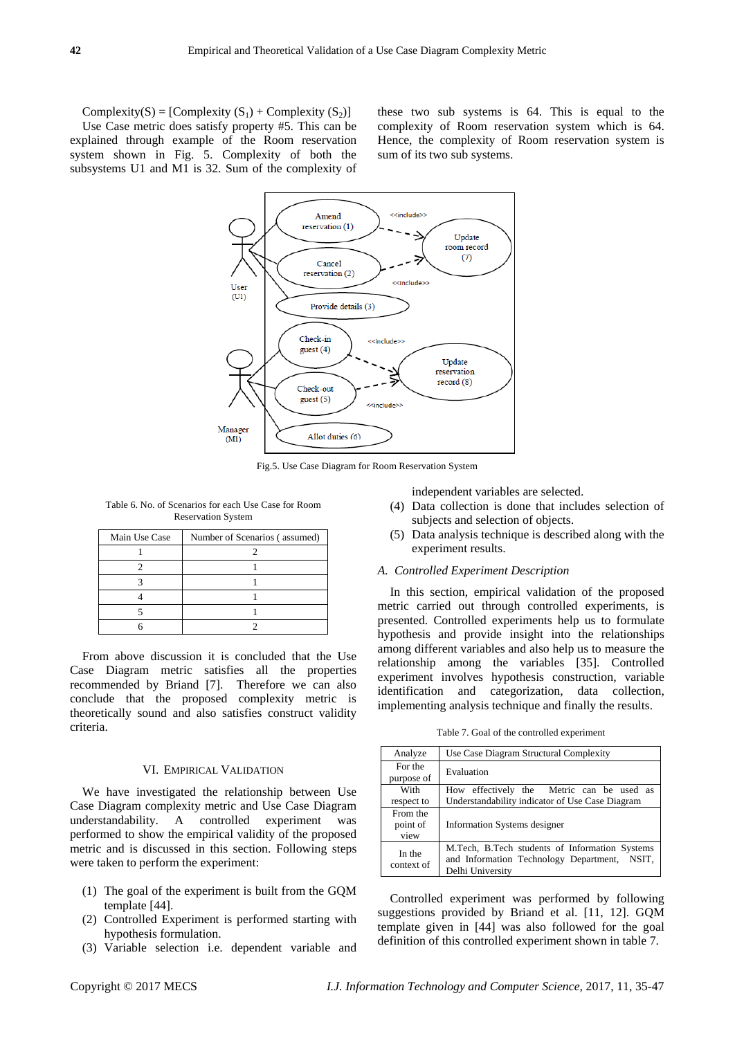Complexity(S) = [Complexity  $(S_1)$  + Complexity  $(S_2)$ ] Use Case metric does satisfy property #5. This can be explained through example of the Room reservation system shown in Fig. 5. Complexity of both the subsystems U1 and M1 is 32. Sum of the complexity of these two sub systems is 64. This is equal to the complexity of Room reservation system which is 64. Hence, the complexity of Room reservation system is sum of its two sub systems.



Fig.5. Use Case Diagram for Room Reservation System

Table 6. No. of Scenarios for each Use Case for Room Reservation System

| Main Use Case | Number of Scenarios (assumed) |
|---------------|-------------------------------|
|               |                               |
|               |                               |
|               |                               |
|               |                               |
|               |                               |
|               |                               |

From above discussion it is concluded that the Use Case Diagram metric satisfies all the properties recommended by Briand [7]. Therefore we can also conclude that the proposed complexity metric is theoretically sound and also satisfies construct validity criteria.

#### VI. EMPIRICAL VALIDATION

We have investigated the relationship between Use Case Diagram complexity metric and Use Case Diagram understandability. A controlled experiment was performed to show the empirical validity of the proposed metric and is discussed in this section. Following steps were taken to perform the experiment:

- (1) The goal of the experiment is built from the GQM template [44].
- (2) Controlled Experiment is performed starting with hypothesis formulation.
- (3) Variable selection i.e. dependent variable and

independent variables are selected.

- (4) Data collection is done that includes selection of subjects and selection of objects.
- (5) Data analysis technique is described along with the experiment results.

#### *A. Controlled Experiment Description*

In this section, empirical validation of the proposed metric carried out through controlled experiments, is presented. Controlled experiments help us to formulate hypothesis and provide insight into the relationships among different variables and also help us to measure the relationship among the variables [35]. Controlled experiment involves hypothesis construction, variable identification and categorization, data collection, implementing analysis technique and finally the results.

Table 7. Goal of the controlled experiment

| Analyze                      | Use Case Diagram Structural Complexity                                                                             |
|------------------------------|--------------------------------------------------------------------------------------------------------------------|
| For the<br>purpose of        | Evaluation                                                                                                         |
| With                         | How effectively the Metric can be used as                                                                          |
| respect to                   | Understandability indicator of Use Case Diagram                                                                    |
| From the<br>point of<br>view | <b>Information Systems designer</b>                                                                                |
| In the<br>context of         | M.Tech, B.Tech students of Information Systems<br>and Information Technology Department, NSIT,<br>Delhi University |

Controlled experiment was performed by following suggestions provided by Briand et al. [11, 12]. GQM template given in [44] was also followed for the goal definition of this controlled experiment shown in table 7.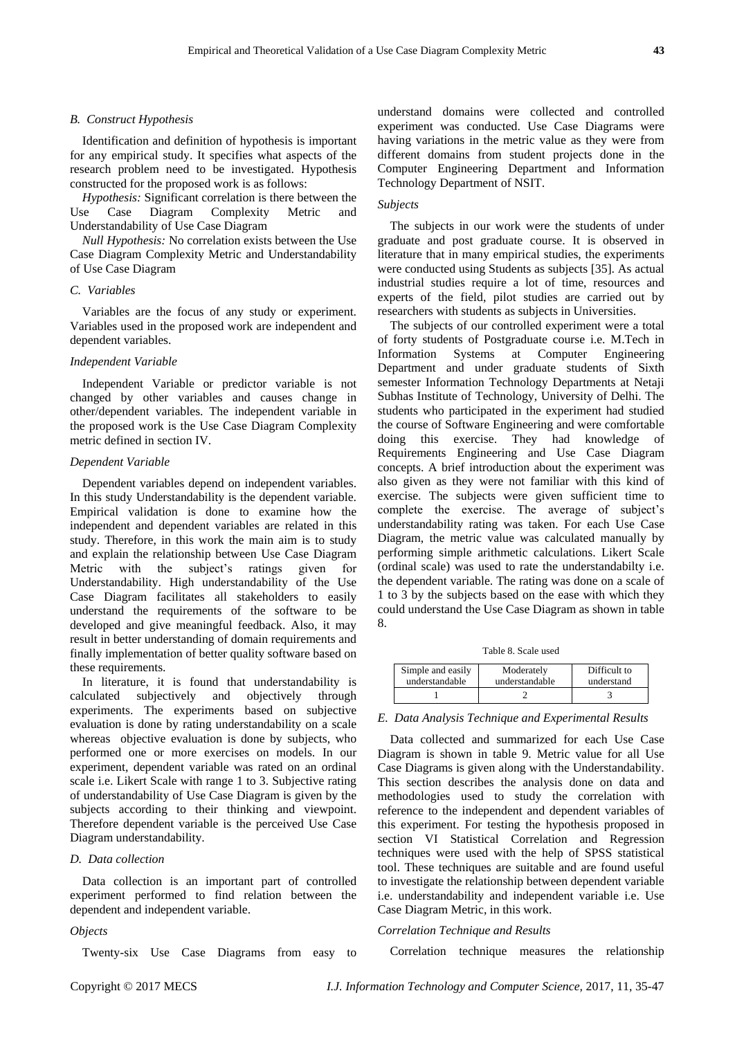#### *B. Construct Hypothesis*

Identification and definition of hypothesis is important for any empirical study. It specifies what aspects of the research problem need to be investigated. Hypothesis constructed for the proposed work is as follows:

*Hypothesis:* Significant correlation is there between the Use Case Diagram Complexity Metric and Understandability of Use Case Diagram

*Null Hypothesis:* No correlation exists between the Use Case Diagram Complexity Metric and Understandability of Use Case Diagram

# *C. Variables*

Variables are the focus of any study or experiment. Variables used in the proposed work are independent and dependent variables.

#### *Independent Variable*

Independent Variable or predictor variable is not changed by other variables and causes change in other/dependent variables. The independent variable in the proposed work is the Use Case Diagram Complexity metric defined in section IV.

#### *Dependent Variable*

Dependent variables depend on independent variables. In this study Understandability is the dependent variable. Empirical validation is done to examine how the independent and dependent variables are related in this study. Therefore, in this work the main aim is to study and explain the relationship between Use Case Diagram Metric with the subject's ratings given for Understandability. High understandability of the Use Case Diagram facilitates all stakeholders to easily understand the requirements of the software to be developed and give meaningful feedback. Also, it may result in better understanding of domain requirements and finally implementation of better quality software based on these requirements.

In literature, it is found that understandability is calculated subjectively and objectively through experiments. The experiments based on subjective evaluation is done by rating understandability on a scale whereas objective evaluation is done by subjects, who performed one or more exercises on models. In our experiment, dependent variable was rated on an ordinal scale i.e. Likert Scale with range 1 to 3. Subjective rating of understandability of Use Case Diagram is given by the subjects according to their thinking and viewpoint. Therefore dependent variable is the perceived Use Case Diagram understandability.

# *D. Data collection*

Data collection is an important part of controlled experiment performed to find relation between the dependent and independent variable.

#### *Objects*

Twenty-six Use Case Diagrams from easy to

understand domains were collected and controlled experiment was conducted. Use Case Diagrams were having variations in the metric value as they were from different domains from student projects done in the Computer Engineering Department and Information Technology Department of NSIT.

# *Subjects*

The subjects in our work were the students of under graduate and post graduate course. It is observed in literature that in many empirical studies, the experiments were conducted using Students as subjects [35]. As actual industrial studies require a lot of time, resources and experts of the field, pilot studies are carried out by researchers with students as subjects in Universities.

The subjects of our controlled experiment were a total of forty students of Postgraduate course i.e. M.Tech in Information Systems at Computer Engineering Department and under graduate students of Sixth semester Information Technology Departments at Netaji Subhas Institute of Technology, University of Delhi. The students who participated in the experiment had studied the course of Software Engineering and were comfortable doing this exercise. They had knowledge of Requirements Engineering and Use Case Diagram concepts. A brief introduction about the experiment was also given as they were not familiar with this kind of exercise. The subjects were given sufficient time to complete the exercise. The average of subject's understandability rating was taken. For each Use Case Diagram, the metric value was calculated manually by performing simple arithmetic calculations. Likert Scale (ordinal scale) was used to rate the understandabilty i.e. the dependent variable. The rating was done on a scale of 1 to 3 by the subjects based on the ease with which they could understand the Use Case Diagram as shown in table 8.

Table 8. Scale used

| Simple and easily | Moderately     | Difficult to |
|-------------------|----------------|--------------|
| understandable    | understandable | understand   |
|                   |                |              |

*E. Data Analysis Technique and Experimental Results*

Data collected and summarized for each Use Case Diagram is shown in table 9. Metric value for all Use Case Diagrams is given along with the Understandability. This section describes the analysis done on data and methodologies used to study the correlation with reference to the independent and dependent variables of this experiment. For testing the hypothesis proposed in section VI Statistical Correlation and Regression techniques were used with the help of SPSS statistical tool. These techniques are suitable and are found useful to investigate the relationship between dependent variable i.e. understandability and independent variable i.e. Use Case Diagram Metric, in this work.

# *Correlation Technique and Results*

Correlation technique measures the relationship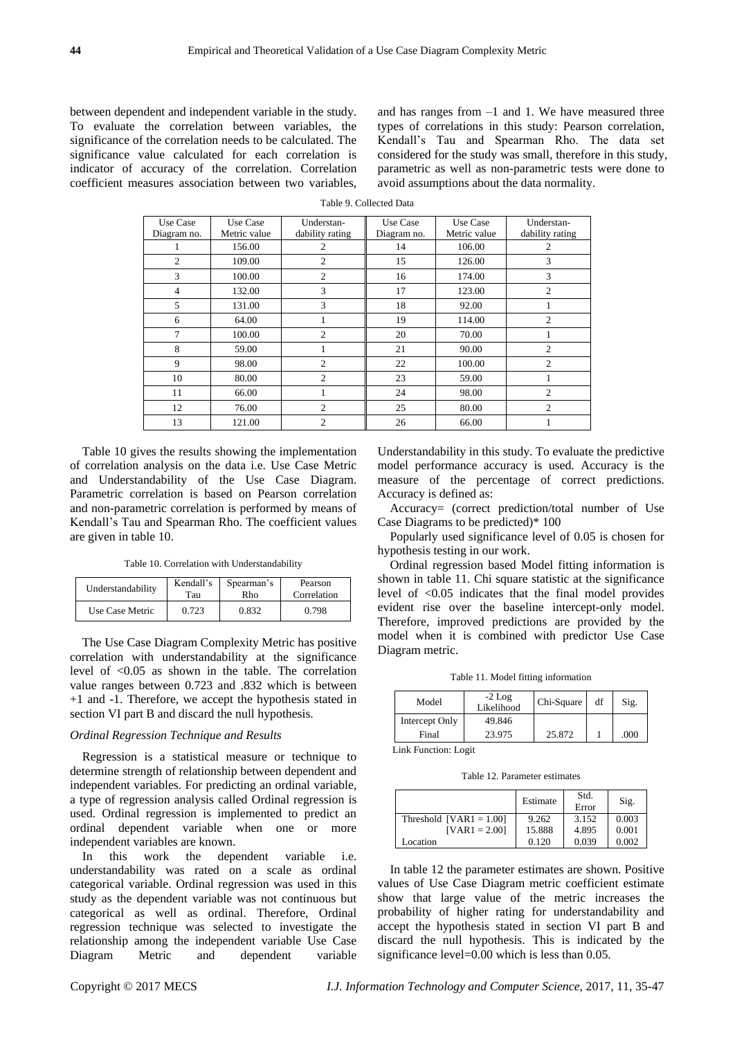between dependent and independent variable in the study. To evaluate the correlation between variables, the significance of the correlation needs to be calculated. The significance value calculated for each correlation is indicator of accuracy of the correlation. Correlation coefficient measures association between two variables, and has ranges from –1 and 1. We have measured three types of correlations in this study: Pearson correlation, Kendall"s Tau and Spearman Rho. The data set considered for the study was small, therefore in this study, parametric as well as non-parametric tests were done to avoid assumptions about the data normality.

| Table 9. Collected Data |  |
|-------------------------|--|
|                         |  |

| Use Case       | Use Case     | Understan-      | Use Case    | Use Case     | Understan-      |
|----------------|--------------|-----------------|-------------|--------------|-----------------|
| Diagram no.    | Metric value | dability rating | Diagram no. | Metric value | dability rating |
|                | 156.00       | 2               | 14          | 106.00       | 2               |
| $\overline{c}$ | 109.00       | $\mathfrak{2}$  | 15          | 126.00       | 3               |
| 3              | 100.00       | $\overline{c}$  | 16          | 174.00       | 3               |
| $\overline{4}$ | 132.00       | 3               | 17          | 123.00       | $\overline{2}$  |
| 5              | 131.00       | 3               | 18          | 92.00        |                 |
| 6              | 64.00        |                 | 19          | 114.00       | $\overline{c}$  |
| 7              | 100.00       | $\overline{c}$  | 20          | 70.00        |                 |
| 8              | 59.00        | 1               | 21          | 90.00        | $\overline{c}$  |
| 9              | 98.00        | $\mathfrak{2}$  | 22          | 100.00       | $\overline{c}$  |
| 10             | 80.00        | $\overline{c}$  | 23          | 59.00        |                 |
| 11             | 66.00        | ı               | 24          | 98.00        | $\overline{c}$  |
| 12             | 76.00        | 2               | 25          | 80.00        | $\overline{c}$  |
| 13             | 121.00       | 2               | 26          | 66.00        |                 |

Table 10 gives the results showing the implementation of correlation analysis on the data i.e. Use Case Metric and Understandability of the Use Case Diagram. Parametric correlation is based on Pearson correlation and non-parametric correlation is performed by means of Kendall"s Tau and Spearman Rho. The coefficient values are given in table 10.

Table 10. Correlation with Understandability

| Understandability | Kendall's | Spearman's | Pearson     |  |
|-------------------|-----------|------------|-------------|--|
|                   | Tau       | Rho        | Correlation |  |
| Use Case Metric   | 0.723     | 0.832      | 0.798       |  |

The Use Case Diagram Complexity Metric has positive correlation with understandability at the significance level of <0.05 as shown in the table. The correlation value ranges between 0.723 and .832 which is between +1 and -1. Therefore, we accept the hypothesis stated in section VI part B and discard the null hypothesis.

# *Ordinal Regression Technique and Results*

Regression is a statistical measure or technique to determine strength of relationship between dependent and independent variables. For predicting an ordinal variable, a type of regression analysis called Ordinal regression is used. Ordinal regression is implemented to predict an ordinal dependent variable when one or more independent variables are known.

In this work the dependent variable i.e. understandability was rated on a scale as ordinal categorical variable. Ordinal regression was used in this study as the dependent variable was not continuous but categorical as well as ordinal. Therefore, Ordinal regression technique was selected to investigate the relationship among the independent variable Use Case Diagram Metric and dependent variable

Understandability in this study. To evaluate the predictive model performance accuracy is used. Accuracy is the measure of the percentage of correct predictions. Accuracy is defined as:

Accuracy= (correct prediction/total number of Use Case Diagrams to be predicted)\* 100

Popularly used significance level of 0.05 is chosen for hypothesis testing in our work.

Ordinal regression based Model fitting information is shown in table 11. Chi square statistic at the significance level of <0.05 indicates that the final model provides evident rise over the baseline intercept-only model. Therefore, improved predictions are provided by the model when it is combined with predictor Use Case Diagram metric.

Table 11. Model fitting information

| Model          | $-2$ Log<br>Likelihood | Chi-Square | df | Sig. |
|----------------|------------------------|------------|----|------|
| Intercept Only | 49.846                 |            |    |      |
| Final          | 23.975                 | 25.872     |    | .000 |

Link Function: Logit

Table 12. Parameter estimates

|                           | Estimate | Std.<br>Error | Sig.  |
|---------------------------|----------|---------------|-------|
| Threshold $[VAR1 = 1.00]$ | 9.262    | 3.152         | 0.003 |
| $[VAR1 = 2.00]$           | 15.888   | 4.895         | 0.001 |
| Location                  | 0.120    | 0.039         | 0.002 |

In table 12 the parameter estimates are shown. Positive values of Use Case Diagram metric coefficient estimate show that large value of the metric increases the probability of higher rating for understandability and accept the hypothesis stated in section VI part B and discard the null hypothesis. This is indicated by the significance level=0.00 which is less than 0.05.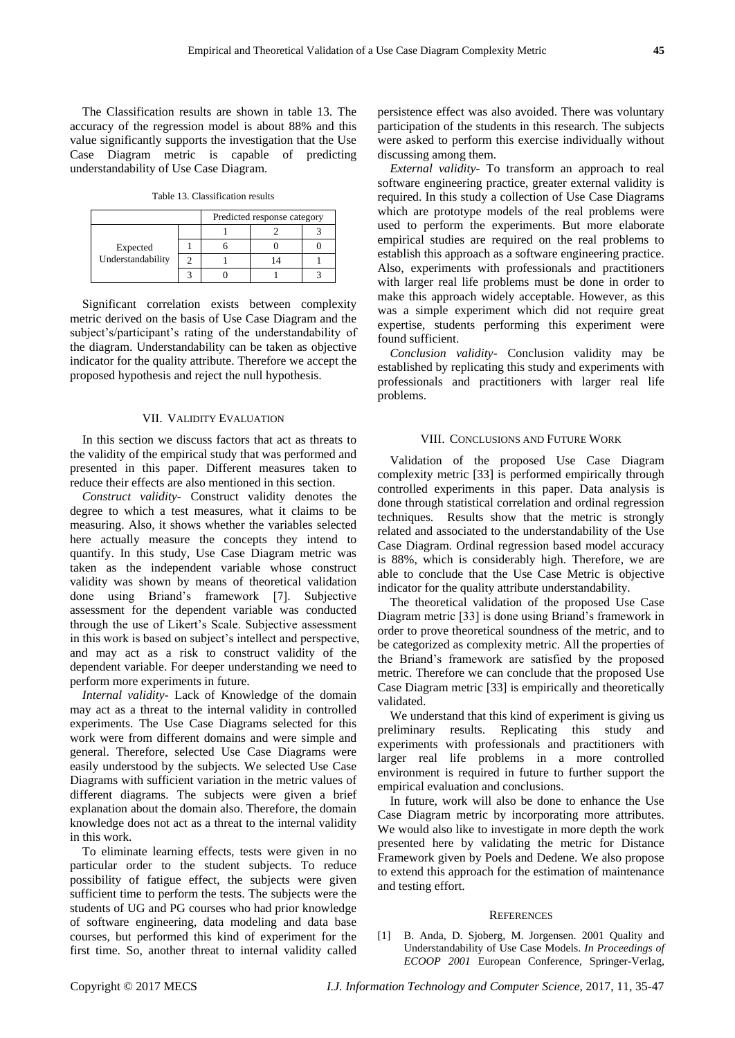The Classification results are shown in table 13. The accuracy of the regression model is about 88% and this value significantly supports the investigation that the Use Case Diagram metric is capable of predicting understandability of Use Case Diagram.

Table 13. Classification results

|                               | Predicted response category |  |  |
|-------------------------------|-----------------------------|--|--|
| Expected<br>Understandability |                             |  |  |
|                               |                             |  |  |
|                               |                             |  |  |
|                               |                             |  |  |

Significant correlation exists between complexity metric derived on the basis of Use Case Diagram and the subject's/participant's rating of the understandability of the diagram. Understandability can be taken as objective indicator for the quality attribute. Therefore we accept the proposed hypothesis and reject the null hypothesis.

# VII. VALIDITY EVALUATION

In this section we discuss factors that act as threats to the validity of the empirical study that was performed and presented in this paper. Different measures taken to reduce their effects are also mentioned in this section.

*Construct validity-* Construct validity denotes the degree to which a test measures, what it claims to be measuring. Also, it shows whether the variables selected here actually measure the concepts they intend to quantify. In this study, Use Case Diagram metric was taken as the independent variable whose construct validity was shown by means of theoretical validation done using Briand"s framework [7]. Subjective assessment for the dependent variable was conducted through the use of Likert"s Scale. Subjective assessment in this work is based on subject's intellect and perspective, and may act as a risk to construct validity of the dependent variable. For deeper understanding we need to perform more experiments in future.

*Internal validity-* Lack of Knowledge of the domain may act as a threat to the internal validity in controlled experiments. The Use Case Diagrams selected for this work were from different domains and were simple and general. Therefore, selected Use Case Diagrams were easily understood by the subjects. We selected Use Case Diagrams with sufficient variation in the metric values of different diagrams. The subjects were given a brief explanation about the domain also. Therefore, the domain knowledge does not act as a threat to the internal validity in this work.

To eliminate learning effects, tests were given in no particular order to the student subjects. To reduce possibility of fatigue effect, the subjects were given sufficient time to perform the tests. The subjects were the students of UG and PG courses who had prior knowledge of software engineering, data modeling and data base courses, but performed this kind of experiment for the first time. So, another threat to internal validity called persistence effect was also avoided. There was voluntary participation of the students in this research. The subjects were asked to perform this exercise individually without discussing among them.

*External validity-* To transform an approach to real software engineering practice, greater external validity is required. In this study a collection of Use Case Diagrams which are prototype models of the real problems were used to perform the experiments. But more elaborate empirical studies are required on the real problems to establish this approach as a software engineering practice. Also, experiments with professionals and practitioners with larger real life problems must be done in order to make this approach widely acceptable. However, as this was a simple experiment which did not require great expertise, students performing this experiment were found sufficient.

*Conclusion validity-* Conclusion validity may be established by replicating this study and experiments with professionals and practitioners with larger real life problems.

## VIII. CONCLUSIONS AND FUTURE WORK

Validation of the proposed Use Case Diagram complexity metric [33] is performed empirically through controlled experiments in this paper. Data analysis is done through statistical correlation and ordinal regression techniques. Results show that the metric is strongly related and associated to the understandability of the Use Case Diagram. Ordinal regression based model accuracy is 88%, which is considerably high. Therefore, we are able to conclude that the Use Case Metric is objective indicator for the quality attribute understandability.

The theoretical validation of the proposed Use Case Diagram metric [33] is done using Briand"s framework in order to prove theoretical soundness of the metric, and to be categorized as complexity metric. All the properties of the Briand"s framework are satisfied by the proposed metric. Therefore we can conclude that the proposed Use Case Diagram metric [33] is empirically and theoretically validated.

We understand that this kind of experiment is giving us preliminary results. Replicating this study and experiments with professionals and practitioners with larger real life problems in a more controlled environment is required in future to further support the empirical evaluation and conclusions.

In future, work will also be done to enhance the Use Case Diagram metric by incorporating more attributes. We would also like to investigate in more depth the work presented here by validating the metric for Distance Framework given by Poels and Dedene. We also propose to extend this approach for the estimation of maintenance and testing effort.

#### **REFERENCES**

[1] B. Anda, D. Sjoberg, M. Jorgensen. 2001 Quality and Understandability of Use Case Models. *In Proceedings of ECOOP 2001* European Conference, Springer-Verlag,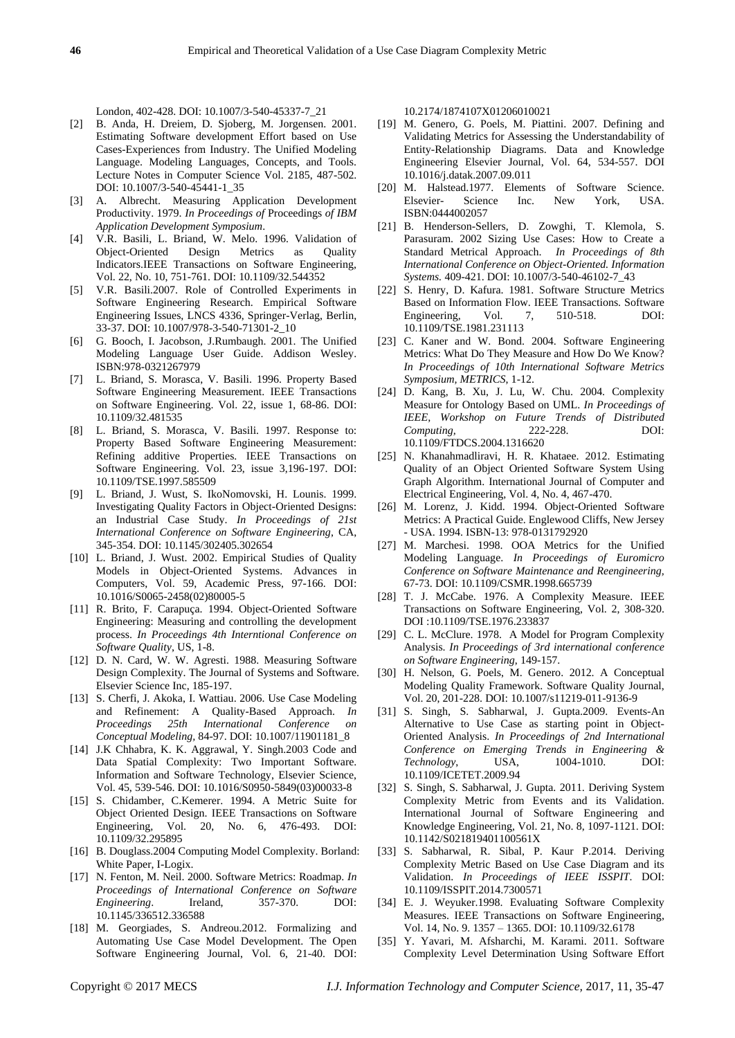London, 402-428. DOI: 10.1007/3-540-45337-7\_21

- [2] B. Anda, H. Dreiem, D. Sjoberg, M. Jorgensen. 2001. Estimating Software development Effort based on Use Cases-Experiences from Industry. The Unified Modeling Language. Modeling Languages, Concepts, and Tools. Lecture Notes in Computer Science Vol. 2185, 487-502. DOI: 10.1007/3-540-45441-1\_35
- [3] A. Albrecht. Measuring Application Development Productivity. 1979. *In Proceedings of* Proceedings *of IBM Application Development Symposium*.
- [4] V.R. Basili, L. Briand, W. Melo. 1996. Validation of Object-Oriented Design Metrics as Quality Indicators.IEEE Transactions on Software Engineering, Vol. 22, No. 10, 751-761. DOI: 10.1109/32.544352
- [5] V.R. Basili.2007. Role of Controlled Experiments in Software Engineering Research. Empirical Software Engineering Issues, LNCS 4336, Springer-Verlag, Berlin, 33-37. DOI: 10.1007/978-3-540-71301-2\_10
- [6] G. Booch, I. Jacobson, J.Rumbaugh. 2001. The Unified Modeling Language User Guide. Addison Wesley. ISBN:978-0321267979
- [7] L. Briand, S. Morasca, V. Basili. 1996. Property Based Software Engineering Measurement. IEEE Transactions on Software Engineering. Vol. 22, issue 1, 68-86. DOI: 10.1109/32.481535
- [8] L. Briand, S. Morasca, V. Basili. 1997. Response to: Property Based Software Engineering Measurement: Refining additive Properties. IEEE Transactions on Software Engineering. Vol. 23, issue 3,196-197. DOI: 10.1109/TSE.1997.585509
- [9] L. Briand, J. Wust, S. IkoNomovski, H. Lounis. 1999. Investigating Quality Factors in Object-Oriented Designs: an Industrial Case Study. *In Proceedings of 21st International Conference on Software Engineering*, CA, 345-354. DOI: 10.1145/302405.302654
- [10] L. Briand, J. Wust. 2002. Empirical Studies of Quality Models in Object-Oriented Systems. Advances in Computers, Vol. 59, Academic Press, 97-166. DOI: 10.1016/S0065-2458(02)80005-5
- [11] R. Brito, F. Carapuça. 1994. Object-Oriented Software Engineering: Measuring and controlling the development process. *In Proceedings 4th Interntional Conference on Software Quality*, US, 1-8.
- [12] D. N. Card, W. W. Agresti. 1988. Measuring Software Design Complexity. The Journal of Systems and Software. Elsevier Science Inc, 185-197.
- [13] S. Cherfi, J. Akoka, I. Wattiau. 2006. Use Case Modeling and Refinement: A Quality-Based Approach. *In Proceedings 25th International Conference on Conceptual Modeling,* 84-97. DOI: 10.1007/11901181\_8
- [14] J.K Chhabra, K. K. Aggrawal, Y. Singh.2003 Code and Data Spatial Complexity: Two Important Software. Information and Software Technology, Elsevier Science, Vol. 45, 539-546. DOI: 10.1016/S0950-5849(03)00033-8
- [15] S. Chidamber, C.Kemerer. 1994. A Metric Suite for Object Oriented Design. IEEE Transactions on Software Engineering, Vol. 20, No. 6, 476-493. DOI: 10.1109/32.295895
- [16] B. Douglass.2004 Computing Model Complexity. Borland: White Paper, I-Logix.
- [17] N. Fenton, M. Neil. 2000. Software Metrics: Roadmap. *In Proceedings of International Conference on Software Engineering*. Ireland, 357-370. DOI: 10.1145/336512.336588
- [18] M. Georgiades, S. Andreou.2012. Formalizing and Automating Use Case Model Development. The Open Software Engineering Journal, Vol. 6, 21-40. DOI:

10.2174/1874107X01206010021

- [19] M. Genero, G. Poels, M. Piattini. 2007. Defining and Validating Metrics for Assessing the Understandability of Entity-Relationship Diagrams. Data and Knowledge Engineering Elsevier Journal, Vol. 64, 534-557. DOI 10.1016/j.datak.2007.09.011
- [20] M. Halstead.1977. Elements of Software Science. Elsevier- Science Inc. New York, USA. ISBN:0444002057
- [21] B. Henderson-Sellers, D. Zowghi, T. Klemola, S. Parasuram. 2002 Sizing Use Cases: How to Create a Standard Metrical Approach. *In Proceedings of 8th International Conference on Object-Oriented. Information Systems.* 409-421. DOI: 10.1007/3-540-46102-7\_43
- [22] S. Henry, D. Kafura. 1981. Software Structure Metrics Based on Information Flow. IEEE Transactions. Software<br>Engineering, Vol. 7, 510-518. DOI: Engineering, 10.1109/TSE.1981.231113
- [23] C. Kaner and W. Bond. 2004. Software Engineering Metrics: What Do They Measure and How Do We Know? *In Proceedings of 10th International Software Metrics Symposium, METRICS*, 1-12.
- [24] D. Kang, B. Xu, J. Lu, W. Chu. 2004. Complexity Measure for Ontology Based on UML. *In Proceedings of IEEE, Workshop on Future Trends of Distributed Computing,* 222-228. DOI: 10.1109/FTDCS.2004.1316620
- [25] N. Khanahmadliravi, H. R. Khataee. 2012. Estimating Quality of an Object Oriented Software System Using Graph Algorithm. International Journal of Computer and Electrical Engineering, Vol. 4, No. 4, 467-470.
- [26] M. Lorenz, J. Kidd. 1994. Object-Oriented Software Metrics: A Practical Guide. Englewood Cliffs, New Jersey - USA. 1994. ISBN-13: 978-0131792920
- [27] M. Marchesi. 1998. OOA Metrics for the Unified Modeling Language. *In Proceedings of Euromicro Conference on Software Maintenance and Reengineering,* 67-73. DOI: 10.1109/CSMR.1998.665739
- [28] T. J. McCabe. 1976. A Complexity Measure. IEEE Transactions on Software Engineering, Vol. 2, 308-320. DOI :10.1109/TSE.1976.233837
- [29] C. L. McClure. 1978. A Model for Program Complexity Analysis. *In Proceedings of 3rd international conference on Software Engineering*, 149-157.
- [30] H. Nelson, G. Poels, M. Genero. 2012. A Conceptual Modeling Quality Framework. Software Quality Journal, Vol. 20, 201-228. DOI: 10.1007/s11219-011-9136-9
- [31] S. Singh, S. Sabharwal, J. Gupta.2009. Events-An Alternative to Use Case as starting point in Object-Oriented Analysis. *In Proceedings of 2nd International Conference on Emerging Trends in Engineering & Technology*, USA, 1004-1010. DOI: 10.1109/ICETET.2009.94
- [32] S. Singh, S. Sabharwal, J. Gupta. 2011. Deriving System Complexity Metric from Events and its Validation. International Journal of Software Engineering and Knowledge Engineering, Vol. 21, No. 8, 1097-1121. DOI: 10.1142/S021819401100561X
- [33] S. Sabharwal, R. Sibal, P. Kaur P.2014. Deriving Complexity Metric Based on Use Case Diagram and its Validation. *In Proceedings of IEEE ISSPIT*. DOI: 10.1109/ISSPIT.2014.7300571
- [34] E. J. Weyuker.1998. Evaluating Software Complexity Measures. IEEE Transactions on Software Engineering, Vol. 14, No. 9. 1357 – 1365. DOI: 10.1109/32.6178
- [35] Y. Yavari, M. Afsharchi, M. Karami. 2011. Software Complexity Level Determination Using Software Effort